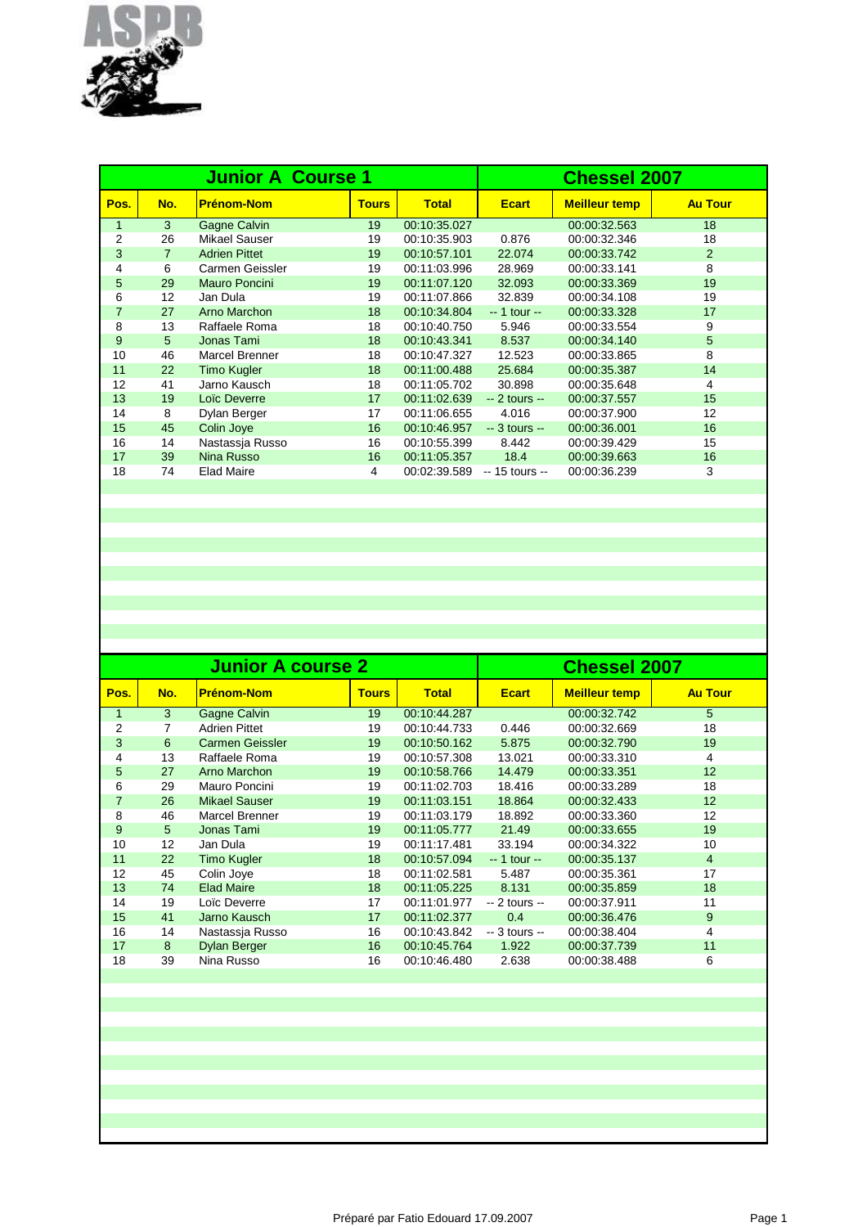

|                |     | <b>Junior A Course 1</b> | <b>Chessel 2007</b> |              |                 |                      |                |
|----------------|-----|--------------------------|---------------------|--------------|-----------------|----------------------|----------------|
| Pos.           | No. | <b>Prénom-Nom</b>        | <b>Tours</b>        | <b>Total</b> | <b>Ecart</b>    | <b>Meilleur temp</b> | <b>Au Tour</b> |
| $\mathbf{1}$   | 3   | Gagne Calvin             | 19                  | 00:10:35.027 |                 | 00:00:32.563         | 18             |
| $\overline{2}$ | 26  | <b>Mikael Sauser</b>     | 19                  | 00:10:35.903 | 0.876           | 00:00:32.346         | 18             |
| 3              | 7   | <b>Adrien Pittet</b>     | 19                  | 00:10:57.101 | 22.074          | 00:00:33.742         | 2              |
| 4              | 6   | Carmen Geissler          | 19                  | 00:11:03.996 | 28.969          | 00:00:33.141         | 8              |
| 5              | 29  | Mauro Poncini            | 19                  | 00:11:07.120 | 32.093          | 00:00:33.369         | 19             |
| 6              | 12  | Jan Dula                 | 19                  | 00:11:07.866 | 32.839          | 00:00:34.108         | 19             |
| $\overline{7}$ | 27  | Arno Marchon             | 18                  | 00:10:34.804 | $-1$ tour $-$   | 00:00:33.328         | 17             |
| 8              | 13  | Raffaele Roma            | 18                  | 00:10:40.750 | 5.946           | 00:00:33.554         | 9              |
| 9              | 5   | Jonas Tami               | 18                  | 00:10:43.341 | 8.537           | 00:00:34.140         | 5              |
| 10             | 46  | Marcel Brenner           | 18                  | 00:10:47.327 | 12.523          | 00:00:33.865         | 8              |
| 11             | 22  | <b>Timo Kugler</b>       | 18                  | 00:11:00.488 | 25.684          | 00:00:35.387         | 14             |
| 12             | 41  | Jarno Kausch             | 18                  | 00:11:05.702 | 30.898          | 00:00:35.648         | 4              |
| 13             | 19  | Loïc Deverre             | 17                  | 00:11:02.639 | $-2$ tours $-$  | 00:00:37.557         | 15             |
| 14             | 8   | Dylan Berger             | 17                  | 00:11:06.655 | 4.016           | 00:00:37.900         | 12             |
| 15             | 45  | Colin Joye               | 16                  | 00:10:46.957 | $-3$ tours $-$  | 00:00:36.001         | 16             |
| 16             | 14  | Nastassia Russo          | 16                  | 00:10:55.399 | 8.442           | 00:00:39.429         | 15             |
| 17             | 39  | Nina Russo               | 16                  | 00:11:05.357 | 18.4            | 00:00:39.663         | 16             |
| 18             | 74  | <b>Elad Maire</b>        | 4                   | 00:02:39.589 | $-15$ tours $-$ | 00:00:36.239         | 3              |
|                |     |                          |                     |              |                 |                      |                |

|     |                        |              | <b>Chessel 2007</b>      |                |                      |                |
|-----|------------------------|--------------|--------------------------|----------------|----------------------|----------------|
| No. | <b>Prénom-Nom</b>      | <b>Tours</b> | <b>Total</b>             | <b>Ecart</b>   | <b>Meilleur temp</b> | <b>Au Tour</b> |
| 3   | Gagne Calvin           | 19           | 00:10:44.287             |                | 00:00:32.742         | 5              |
| 7   | <b>Adrien Pittet</b>   | 19           | 00:10:44.733             | 0.446          | 00:00:32.669         | 18             |
| 6   | <b>Carmen Geissler</b> | 19           | 00:10:50.162             | 5.875          | 00:00:32.790         | 19             |
| 13  | Raffaele Roma          | 19           | 00:10:57.308             | 13.021         | 00:00:33.310         | 4              |
| 27  | Arno Marchon           | 19           | 00:10:58.766             | 14.479         | 00:00:33.351         | 12             |
| 29  | Mauro Poncini          | 19           | 00:11:02.703             | 18.416         | 00:00:33.289         | 18             |
| 26  | <b>Mikael Sauser</b>   | 19           | 00:11:03.151             | 18.864         | 00:00:32.433         | 12             |
| 46  | <b>Marcel Brenner</b>  | 19           | 00:11:03.179             | 18.892         | 00:00:33.360         | 12             |
| 5   | Jonas Tami             | 19           | 00:11:05.777             | 21.49          | 00:00:33.655         | 19             |
| 12  | Jan Dula               | 19           | 00:11:17.481             | 33.194         | 00:00:34.322         | 10             |
| 22  | <b>Timo Kugler</b>     | 18           | 00:10:57.094             | $-1$ tour $-$  | 00:00:35.137         | 4              |
| 45  | Colin Joye             | 18           | 00:11:02.581             | 5.487          | 00:00:35.361         | 17             |
| 74  | <b>Elad Maire</b>      | 18           | 00:11:05.225             | 8.131          | 00:00:35.859         | 18             |
| 19  | Loïc Deverre           | 17           | 00:11:01.977             | $-2$ tours $-$ | 00:00:37.911         | 11             |
| 41  | Jarno Kausch           | 17           | 00:11:02.377             | 0.4            | 00:00:36.476         | 9              |
| 14  | Nastassja Russo        | 16           | 00:10:43.842             | $-3$ tours $-$ | 00:00:38.404         | 4              |
| 8   | <b>Dylan Berger</b>    | 16           | 00:10:45.764             | 1.922          | 00:00:37.739         | 11             |
| 39  | Nina Russo             | 16           | 00:10:46.480             | 2.638          | 00:00:38.488         | 6              |
|     |                        |              | <b>Junior A course 2</b> |                |                      |                |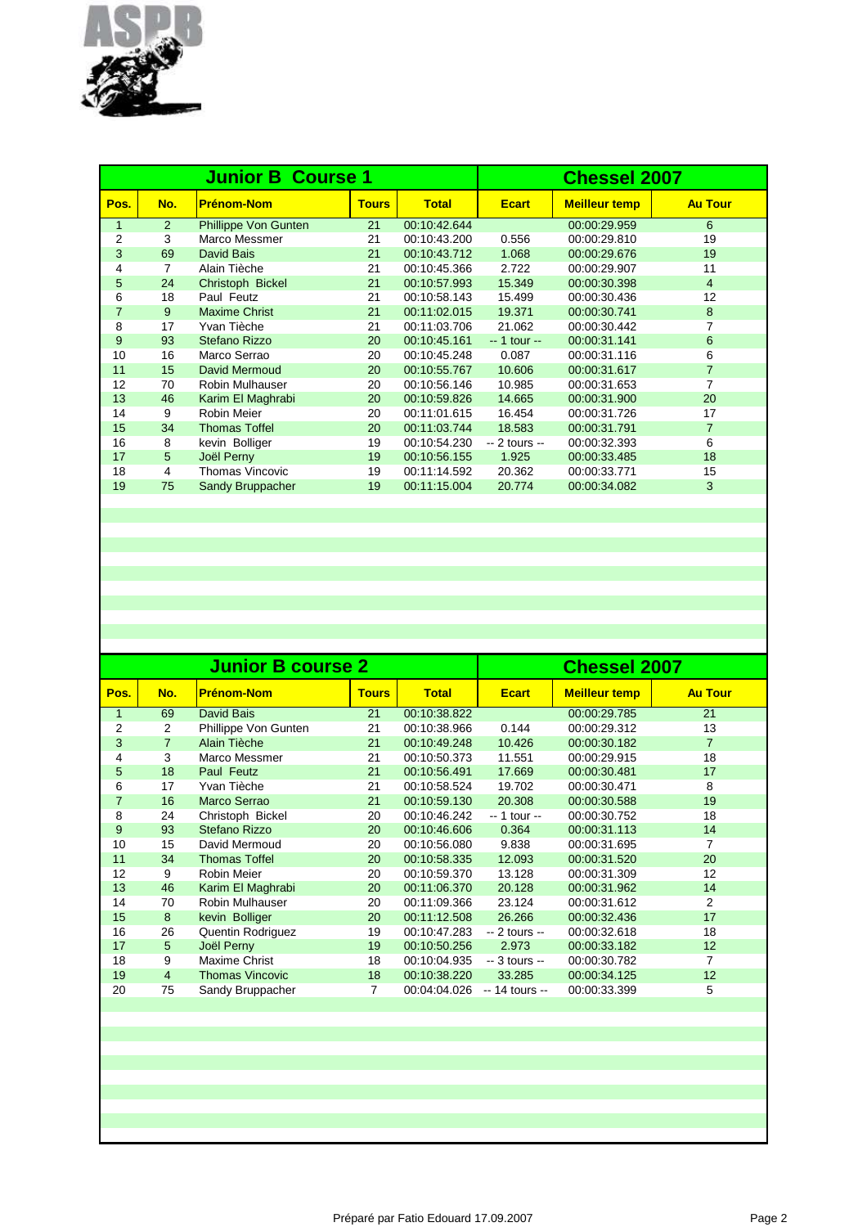

|                |     | <b>Junior B Course 1</b> | <b>Chessel 2007</b> |              |                |                      |                |
|----------------|-----|--------------------------|---------------------|--------------|----------------|----------------------|----------------|
| Pos.           | No. | <b>Prénom-Nom</b>        | <b>Tours</b>        | <b>Total</b> | <b>Ecart</b>   | <b>Meilleur temp</b> | <b>Au Tour</b> |
| $\mathbf{1}$   | 2   | Phillippe Von Gunten     | 21                  | 00:10:42.644 |                | 00:00:29.959         | 6              |
| $\overline{2}$ | 3   | Marco Messmer            | 21                  | 00:10:43.200 | 0.556          | 00:00:29.810         | 19             |
| 3              | 69  | David Bais               | 21                  | 00:10:43.712 | 1.068          | 00:00:29.676         | 19             |
| 4              | 7   | Alain Tièche             | 21                  | 00:10:45.366 | 2.722          | 00:00:29.907         | 11             |
| 5              | 24  | Christoph Bickel         | 21                  | 00:10:57.993 | 15.349         | 00:00:30.398         | $\overline{4}$ |
| 6              | 18  | Paul Feutz               | 21                  | 00:10:58.143 | 15.499         | 00:00:30.436         | 12             |
| $\overline{7}$ | 9   | <b>Maxime Christ</b>     | 21                  | 00:11:02.015 | 19.371         | 00:00:30.741         | 8              |
| 8              | 17  | Yvan Tièche              | 21                  | 00:11:03.706 | 21.062         | 00:00:30.442         | 7              |
| 9              | 93  | Stefano Rizzo            | 20                  | 00:10:45.161 | $-1$ tour $-$  | 00:00:31.141         | 6              |
| 10             | 16  | Marco Serrao             | 20                  | 00:10:45.248 | 0.087          | 00:00:31.116         | 6              |
| 11             | 15  | David Mermoud            | 20                  | 00:10:55.767 | 10.606         | 00:00:31.617         | $\overline{7}$ |
| 12             | 70  | <b>Robin Mulhauser</b>   | 20                  | 00:10:56.146 | 10.985         | 00:00:31.653         | 7              |
| 13             | 46  | Karim El Maghrabi        | 20                  | 00:10:59.826 | 14.665         | 00:00:31.900         | 20             |
| 14             | 9   | Robin Meier              | 20                  | 00:11:01.615 | 16.454         | 00:00:31.726         | 17             |
| 15             | 34  | <b>Thomas Toffel</b>     | 20                  | 00:11:03.744 | 18.583         | 00:00:31.791         | $\overline{7}$ |
| 16             | 8   | kevin Bolliger           | 19                  | 00:10:54.230 | $-2$ tours $-$ | 00:00:32.393         | 6              |
| 17             | 5   | Joël Perny               | 19                  | 00:10:56.155 | 1.925          | 00:00:33.485         | 18             |
| 18             | 4   | <b>Thomas Vincovic</b>   | 19                  | 00:11:14.592 | 20.362         | 00:00:33.771         | 15             |
| 19             | 75  | Sandy Bruppacher         | 19                  | 00:11:15.004 | 20.774         | 00:00:34.082         | 3              |
|                |     |                          |                     |              |                |                      |                |

| <b>Chessel 2007</b> |  |  |  |
|---------------------|--|--|--|
| <b>Au Tour</b>      |  |  |  |
| 21                  |  |  |  |
| 13                  |  |  |  |
| $\overline{7}$      |  |  |  |
| 18                  |  |  |  |
| 17                  |  |  |  |
| 8                   |  |  |  |
| 19                  |  |  |  |
| 18                  |  |  |  |
| 14                  |  |  |  |
| 7                   |  |  |  |
| 20                  |  |  |  |
| 12                  |  |  |  |
| 14                  |  |  |  |
| 2                   |  |  |  |
| 17                  |  |  |  |
| 18                  |  |  |  |
| 12                  |  |  |  |
| 7                   |  |  |  |
| 12                  |  |  |  |
| 5                   |  |  |  |
|                     |  |  |  |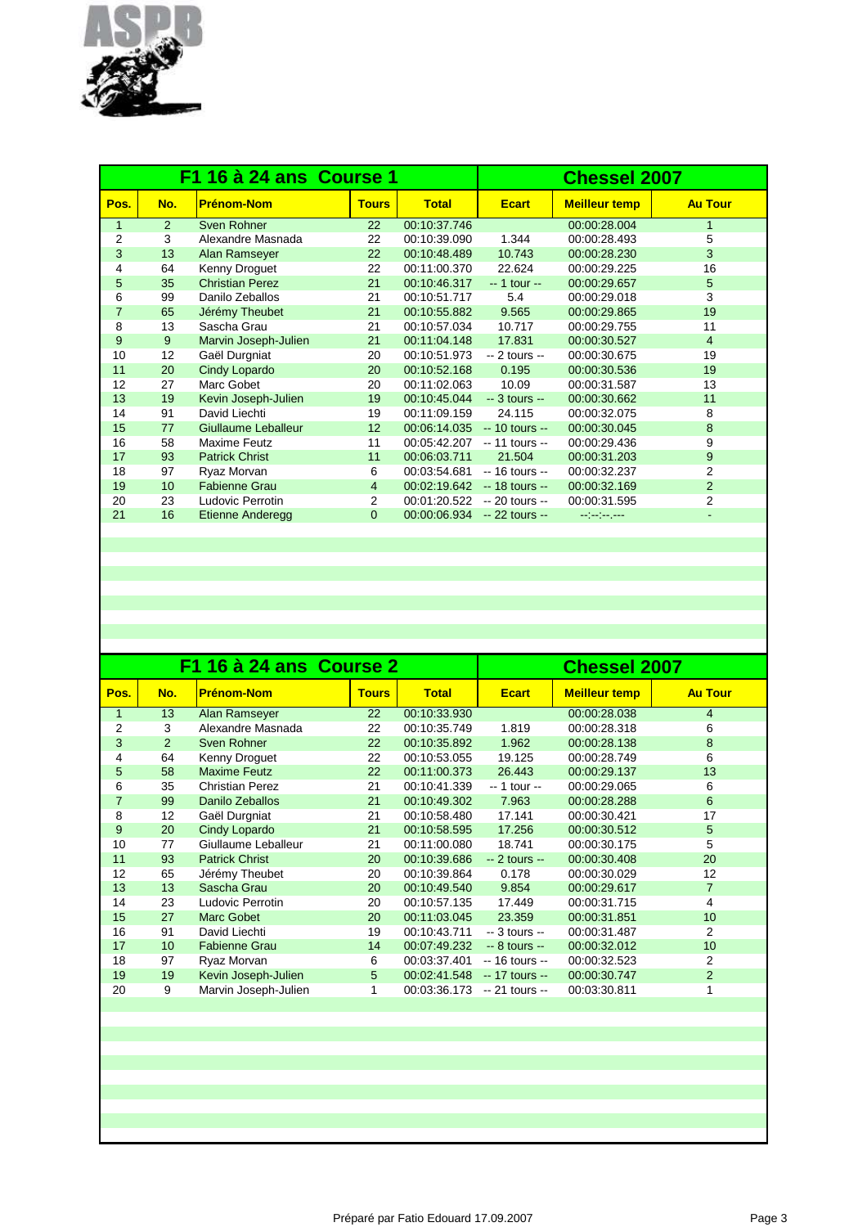

|                |     | F1 16 à 24 ans Course 1 | <b>Chessel 2007</b> |              |                 |                      |                          |
|----------------|-----|-------------------------|---------------------|--------------|-----------------|----------------------|--------------------------|
| Pos.           | No. | <b>Prénom-Nom</b>       | <b>Tours</b>        | <b>Total</b> | <b>Ecart</b>    | <b>Meilleur temp</b> | <b>Au Tour</b>           |
| $\mathbf{1}$   | 2   | Sven Rohner             | 22                  | 00:10:37.746 |                 | 00:00:28.004         | $\mathbf{1}$             |
| $\overline{2}$ | 3   | Alexandre Masnada       | 22                  | 00:10:39.090 | 1.344           | 00:00:28.493         | 5                        |
| 3              | 13  | Alan Ramseyer           | 22                  | 00:10:48.489 | 10.743          | 00:00:28.230         | 3                        |
| 4              | 64  | Kenny Droguet           | 22                  | 00:11:00.370 | 22.624          | 00:00:29.225         | 16                       |
| 5              | 35  | <b>Christian Perez</b>  | 21                  | 00:10:46.317 | $-1$ tour $-$   | 00:00:29.657         | 5                        |
| 6              | 99  | Danilo Zeballos         | 21                  | 00:10:51.717 | 5.4             | 00:00:29.018         | 3                        |
| $\overline{7}$ | 65  | Jérémy Theubet          | 21                  | 00:10:55.882 | 9.565           | 00:00:29.865         | 19                       |
| 8              | 13  | Sascha Grau             | 21                  | 00:10:57.034 | 10.717          | 00:00:29.755         | 11                       |
| 9              | 9   | Marvin Joseph-Julien    | 21                  | 00:11:04.148 | 17.831          | 00:00:30.527         | $\overline{4}$           |
| 10             | 12  | Gaël Durgniat           | 20                  | 00:10:51.973 | $-2$ tours $-$  | 00:00:30.675         | 19                       |
| 11             | 20  | Cindy Lopardo           | 20                  | 00:10:52.168 | 0.195           | 00:00:30.536         | 19                       |
| 12             | 27  | Marc Gobet              | 20                  | 00:11:02.063 | 10.09           | 00:00:31.587         | 13                       |
| 13             | 19  | Kevin Joseph-Julien     | 19                  | 00:10:45.044 | $-3$ tours $-$  | 00:00:30.662         | 11                       |
| 14             | 91  | David Liechti           | 19                  | 00:11:09.159 | 24.115          | 00:00:32.075         | 8                        |
| 15             | 77  | Giullaume Leballeur     | 12 <sup>2</sup>     | 00:06:14.035 | $-10$ tours $-$ | 00:00:30.045         | 8                        |
| 16             | 58  | Maxime Feutz            | 11                  | 00:05:42.207 | $-11$ tours $-$ | 00:00:29.436         | 9                        |
| 17             | 93  | <b>Patrick Christ</b>   | 11                  | 00:06:03.711 | 21.504          | 00:00:31.203         | 9                        |
| 18             | 97  | Ryaz Morvan             | 6                   | 00:03:54.681 | $-16$ tours $-$ | 00:00:32.237         | $\overline{2}$           |
| 19             | 10  | <b>Fabienne Grau</b>    | $\overline{4}$      | 00:02:19.642 | $-18$ tours $-$ | 00:00:32.169         | $\overline{2}$           |
| 20             | 23  | Ludovic Perrotin        | 2                   | 00:01:20.522 | $-20$ tours $-$ | 00:00:31.595         | 2                        |
| 21             | 16  | <b>Etienne Anderegg</b> | $\Omega$            | 00:00:06.934 | $-22$ tours $-$ | مسترمين سوابي        | $\overline{\phantom{a}}$ |
|                |     |                         |                     |              |                 |                      |                          |

|                |     | F1 16 à 24 ans Course 2 | <b>Chessel 2007</b> |              |                 |                      |                |
|----------------|-----|-------------------------|---------------------|--------------|-----------------|----------------------|----------------|
| Pos.           | No. | <b>Prénom-Nom</b>       | <b>Tours</b>        | <b>Total</b> | <b>Ecart</b>    | <b>Meilleur temp</b> | <b>Au Tour</b> |
| 1              | 13  | Alan Ramseyer           | 22                  | 00:10:33.930 |                 | 00:00:28.038         | $\overline{4}$ |
| $\overline{2}$ | 3   | Alexandre Masnada       | 22                  | 00:10:35.749 | 1.819           | 00:00:28.318         | 6              |
| 3              | 2   | Sven Rohner             | 22                  | 00:10:35.892 | 1.962           | 00:00:28.138         | 8              |
| 4              | 64  | Kenny Droguet           | 22                  | 00:10:53.055 | 19.125          | 00:00:28.749         | 6              |
| 5              | 58  | <b>Maxime Feutz</b>     | 22                  | 00:11:00.373 | 26.443          | 00:00:29.137         | 13             |
| 6              | 35  | <b>Christian Perez</b>  | 21                  | 00:10:41.339 | -- 1 tour --    | 00:00:29.065         | 6              |
| $\overline{7}$ | 99  | Danilo Zeballos         | 21                  | 00:10:49.302 | 7.963           | 00:00:28.288         | 6              |
| 8              | 12  | Gaël Durgniat           | 21                  | 00:10:58.480 | 17.141          | 00:00:30.421         | 17             |
| 9              | 20  | Cindy Lopardo           | 21                  | 00:10:58.595 | 17.256          | 00:00:30.512         | 5              |
| 10             | 77  | Giullaume Leballeur     | 21                  | 00:11:00.080 | 18.741          | 00:00:30.175         | 5              |
| 11             | 93  | <b>Patrick Christ</b>   | 20                  | 00:10:39.686 | $-2$ tours $-$  | 00:00:30.408         | 20             |
| 12             | 65  | Jérémy Theubet          | 20                  | 00:10:39.864 | 0.178           | 00:00:30.029         | 12             |
| 13             | 13  | Sascha Grau             | 20                  | 00:10:49.540 | 9.854           | 00:00:29.617         | $\overline{7}$ |
| 14             | 23  | Ludovic Perrotin        | 20                  | 00:10:57.135 | 17.449          | 00:00:31.715         | 4              |
| 15             | 27  | <b>Marc Gobet</b>       | 20                  | 00:11:03.045 | 23.359          | 00:00:31.851         | 10             |
| 16             | 91  | David Liechti           | 19                  | 00:10:43.711 | $-3$ tours $-$  | 00:00:31.487         | 2              |
| 17             | 10  | <b>Fabienne Grau</b>    | 14                  | 00:07:49.232 | $-8$ tours $-$  | 00:00:32.012         | 10             |
| 18             | 97  | Ryaz Morvan             | 6                   | 00:03:37.401 | $-16$ tours $-$ | 00:00:32.523         | 2              |
| 19             | 19  | Kevin Joseph-Julien     | 5                   | 00:02:41.548 | $-17$ tours $-$ | 00:00:30.747         | $\overline{2}$ |
| 20             | 9   | Marvin Joseph-Julien    | 1                   | 00:03:36.173 | $-21$ tours $-$ | 00:03:30.811         |                |
|                |     |                         |                     |              |                 |                      |                |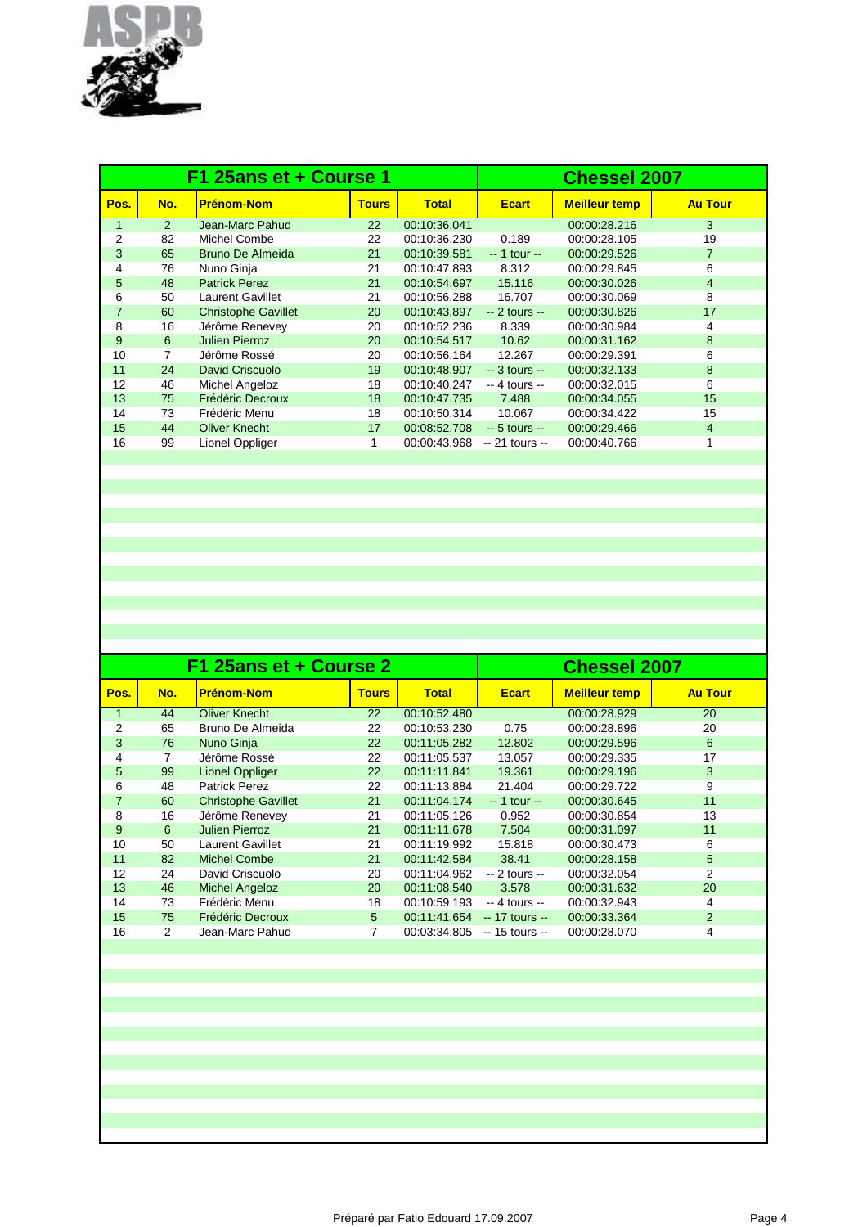

|      |     | F1 25ans et + Course 1     | <b>Chessel 2007</b> |              |                 |                      |                |
|------|-----|----------------------------|---------------------|--------------|-----------------|----------------------|----------------|
| Pos. | No. | <b>Prénom-Nom</b>          | <b>Tours</b>        | <b>Total</b> | <b>Ecart</b>    | <b>Meilleur temp</b> | <b>Au Tour</b> |
| 1    | 2   | Jean-Marc Pahud            | 22                  | 00:10:36.041 |                 | 00:00:28.216         | 3              |
| 2    | 82  | Michel Combe               | 22                  | 00:10:36.230 | 0.189           | 00:00:28.105         | 19             |
| 3    | 65  | <b>Bruno De Almeida</b>    | 21                  | 00:10:39.581 | $-1$ tour $-$   | 00:00:29.526         | $\overline{7}$ |
| 4    | 76  | Nuno Ginja                 | 21                  | 00:10:47.893 | 8.312           | 00:00:29.845         | 6              |
| 5    | 48  | <b>Patrick Perez</b>       | 21                  | 00:10:54.697 | 15.116          | 00:00:30.026         | $\overline{4}$ |
| 6    | 50  | <b>Laurent Gavillet</b>    | 21                  | 00:10:56.288 | 16.707          | 00:00:30.069         | 8              |
| 7    | 60  | <b>Christophe Gavillet</b> | 20                  | 00:10:43.897 | $-2$ tours $-$  | 00:00:30.826         | 17             |
| 8    | 16  | Jérôme Renevey             | 20                  | 00:10:52.236 | 8.339           | 00:00:30.984         | 4              |
| 9    | 6   | <b>Julien Pierroz</b>      | 20                  | 00:10:54.517 | 10.62           | 00:00:31.162         | 8              |
| 10   | 7   | Jérôme Rossé               | 20                  | 00:10:56.164 | 12.267          | 00:00:29.391         | 6              |
| 11   | 24  | <b>David Criscuolo</b>     | 19                  | 00:10:48.907 | $-3$ tours $-$  | 00:00:32.133         | 8              |
| 12   | 46  | <b>Michel Angeloz</b>      | 18                  | 00:10:40.247 | $-4$ tours $-$  | 00:00:32.015         | 6              |
| 13   | 75  | Frédéric Decroux           | 18                  | 00:10:47.735 | 7.488           | 00:00:34.055         | 15             |
| 14   | 73  | Frédéric Menu              | 18                  | 00:10:50.314 | 10.067          | 00:00:34.422         | 15             |
| 15   | 44  | <b>Oliver Knecht</b>       | 17                  | 00:08:52.708 | $-5$ tours $-$  | 00:00:29.466         | $\overline{4}$ |
| 16   | 99  | Lionel Oppliger            |                     | 00:00:43.968 | $-21$ tours $-$ | 00:00:40.766         |                |
|      |     |                            |                     |              |                 |                      |                |

|                |     | F1 25ans et + Course 2     | <b>Chessel 2007</b> |              |                 |                      |                |
|----------------|-----|----------------------------|---------------------|--------------|-----------------|----------------------|----------------|
| Pos.           | No. | <b>Prénom-Nom</b>          | <b>Tours</b>        | <b>Total</b> | <b>Ecart</b>    | <b>Meilleur temp</b> | <b>Au Tour</b> |
|                | 44  | <b>Oliver Knecht</b>       | 22                  | 00:10:52.480 |                 | 00:00:28.929         | 20             |
| 2              | 65  | Bruno De Almeida           | 22                  | 00:10:53.230 | 0.75            | 00:00:28.896         | 20             |
| 3              | 76  | Nuno Ginja                 | 22                  | 00:11:05.282 | 12.802          | 00:00:29.596         | 6              |
| 4              | 7   | Jérôme Rossé               | 22                  | 00:11:05.537 | 13.057          | 00:00:29.335         | 17             |
| 5              | 99  | <b>Lionel Oppliger</b>     | 22                  | 00:11:11.841 | 19.361          | 00:00:29.196         | 3              |
| 6              | 48  | <b>Patrick Perez</b>       | 22                  | 00:11:13.884 | 21.404          | 00:00:29.722         | 9              |
| $\overline{7}$ | 60  | <b>Christophe Gavillet</b> | 21                  | 00:11:04.174 | $-1$ tour $-$   | 00:00:30.645         | 11             |
| 8              | 16  | Jérôme Renevey             | 21                  | 00:11:05.126 | 0.952           | 00:00:30.854         | 13             |
| 9              | 6   | <b>Julien Pierroz</b>      | 21                  | 00:11:11.678 | 7.504           | 00:00:31.097         | 11             |
| 10             | 50  | Laurent Gavillet           | 21                  | 00:11:19.992 | 15.818          | 00:00:30.473         | 6              |
| 11             | 82  | <b>Michel Combe</b>        | 21                  | 00:11:42.584 | 38.41           | 00:00:28.158         | 5              |
| 12             | 24  | David Criscuolo            | 20                  | 00:11:04.962 | $-2$ tours $-$  | 00:00:32.054         | 2              |
| 13             | 46  | <b>Michel Angeloz</b>      | 20                  | 00:11:08.540 | 3.578           | 00:00:31.632         | 20             |
| 14             | 73  | Frédéric Menu              | 18                  | 00:10:59.193 | $-4$ tours $-$  | 00:00:32.943         | 4              |
| 15             | 75  | Frédéric Decroux           | 5                   | 00:11:41.654 | $-17$ tours $-$ | 00:00:33.364         | 2              |
| 16             | 2   | Jean-Marc Pahud            | 7                   | 00:03:34.805 | $-15$ tours $-$ | 00:00:28.070         | 4              |